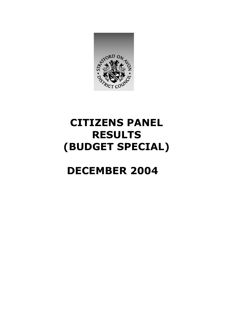

# **CITIZENS PANEL RESULTS (BUDGET SPECIAL)**

# **DECEMBER 2004**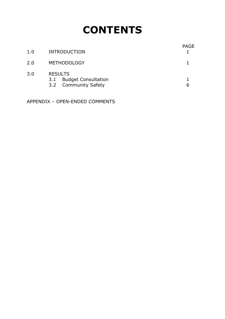# **CONTENTS**

| 1.0 | <b>INTRODUCTION</b>                                                         | <b>PAGE</b> |
|-----|-----------------------------------------------------------------------------|-------------|
| 2.0 | <b>METHODOLOGY</b>                                                          |             |
| 3.0 | <b>RESULTS</b><br><b>Budget Consultation</b><br>3.1<br>3.2 Community Safety | 6           |

APPENDIX – OPEN-ENDED COMMENTS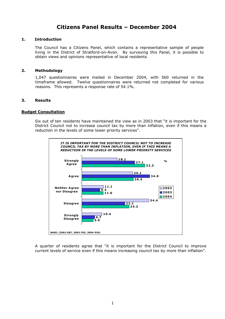### **Citizens Panel Results – December 2004**

#### **1. Introduction**

The Council has a Citizens Panel, which contains a representative sample of people living in the District of Stratford-on-Avon. By surveying this Panel, it is possible to obtain views and opinions representative of local residents.

#### **2. Methodology**

1,047 questionnaires were mailed in December 2004, with 560 returned in the timeframe allowed. Twelve questionnaires were returned not completed for various reasons. This represents a response rate of 54.1%.

#### **3. Results**

#### **Budget Consultation**

Six out of ten residents have maintained the view as in 2003 that "it is important for the District Council not to increase council tax by more than inflation, even if this means a reduction in the levels of some lower priority services".



A quarter of residents agree that "it is important for the District Council to improve current levels of service even if this means increasing council tax by more than inflation".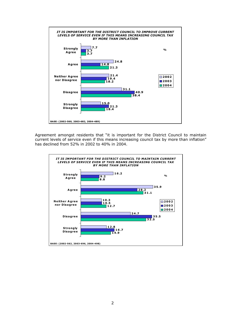

Agreement amongst residents that "it is important for the District Council to maintain current levels of service even if this means increasing council tax by more than inflation" has declined from 52% in 2002 to 40% in 2004.

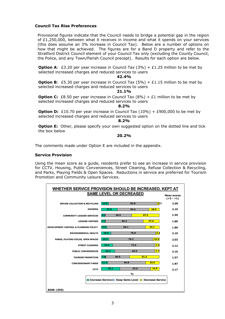#### **Council Tax Rise Preferences**

Provisional figures indicate that the Council needs to bridge a potential gap in the region of £1,250,000, between what it receives in income and what it spends on your services (this does assume an 3% increase in Council Tax). Below are a number of options on how that might be achieved. The figures are for a Band D property and refer to the Stratford District Council element of your Council Tax only (excluding the County Council, the Police, and any Town/Parish Council precept). Results for each option are below.

**Option A:** £3.20 per year increase in Council Tax  $(3%) + £1.25$  million to be met by selected increased charges and reduced services to users

#### **42.4%**

**Option B:** £5.30 per year increase in Council Tax  $(5\%)$  + £1.15 million to be met by selected increased charges and reduced services to users

#### **21.1%**

**Option C:** £8.50 per year increase in Council Tax  $(8\%)$  + £1 million to be met by selected increased charges and reduced services to users

#### **8.2%**

**Option D:** £10.70 per year increase in Council Tax (10%) + £900,000 to be met by selected increased charges and reduced services to users

#### **8.2%**

**Option E:** Other, please specify your own suggested option on the dotted line and tick the box below

#### **20.2%**

The comments made under Option E are included in the appendix.

#### **Service Provision**

Using the mean score as a guide, residents prefer to see an increase in service provision for CCTV, Housing, Public Conveniences, Street Cleaning, Refuse Collection & Recycling, and Parks, Playing Fields & Open Spaces. Reductions in service are preferred for Tourism Promotion and Community Leisure Services.

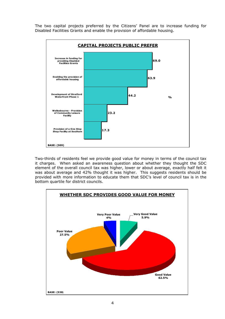The two capital projects preferred by the Citizens' Panel are to increase funding for Disabled Facilities Grants and enable the provision of affordable housing.



Two-thirds of residents feel we provide good value for money in terms of the council tax it charges. When asked an awareness question about whether they thought the SDC element of the overall council tax was higher, lower or about average, exactly half felt it was about average and 42% thought it was higher. This suggests residents should be provided with more information to educate them that SDC's level of council tax is in the bottom quartile for district councils.

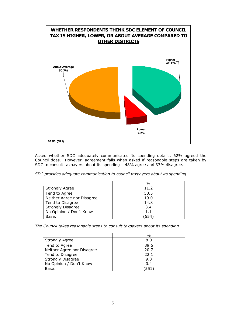

Asked whether SDC adequately communicates its spending details, 62% agreed the Council does. However, agreement falls when asked if reasonable steps are taken by SDC to consult taxpayers about its spending – 48% agree and 33% disagree.

*SDC provides adequate communication to council taxpayers about its spending* 

|                            | $\%$ |
|----------------------------|------|
| <b>Strongly Agree</b>      | 11.2 |
| Tend to Agree              | 50.5 |
| Neither Agree nor Disagree | 19.0 |
| Tend to Disagree           | 14.8 |
| <b>Strongly Disagree</b>   | 3.4  |
| No Opinion / Don't Know    | 1.1  |
| Base:                      | 554  |

*The Council takes reasonable steps to consult taxpayers about its spending* 

|                            | $\frac{0}{0}$ |
|----------------------------|---------------|
| <b>Strongly Agree</b>      | 8.0           |
| Tend to Agree              | 39.6          |
| Neither Agree nor Disagree | 20.7          |
| Tend to Disagree           | 22.1          |
| Strongly Disagree          | 9.3           |
| No Opinion / Don't Know    | 0.4           |
| Base:                      | 551'          |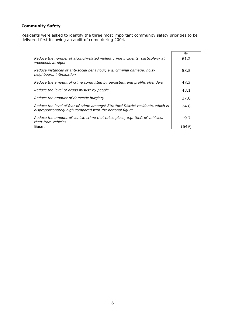### **Community Safety**

Residents were asked to identify the three most important community safety priorities to be delivered first following an audit of crime during 2004.

|                                                                                                                                               | $\%$ |
|-----------------------------------------------------------------------------------------------------------------------------------------------|------|
|                                                                                                                                               |      |
| Reduce the number of alcohol-related violent crime incidents, particularly at<br>weekends at night                                            | 61.2 |
| Reduce instances of anti-social behaviour, e.g. criminal damage, noisy<br>neighbours, intimidation                                            | 58.5 |
| Reduce the amount of crime committed by persistent and prolific offenders                                                                     | 48.3 |
| Reduce the level of drugs misuse by people                                                                                                    | 48.1 |
| Reduce the amount of domestic burglary                                                                                                        | 37.0 |
| Reduce the level of fear of crime amongst Stratford District residents, which is<br>disproportionately high compared with the national figure | 24.8 |
| Reduce the amount of vehicle crime that takes place, e.g. theft of vehicles,<br>theft from vehicles                                           | 19.7 |
| Base:                                                                                                                                         | 549  |

 $\overline{\phantom{0}}$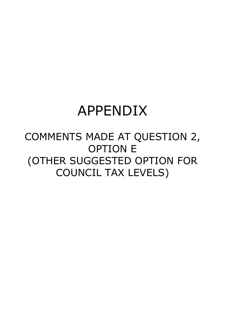# APPENDIX

## COMMENTS MADE AT QUESTION 2, OPTION E (OTHER SUGGESTED OPTION FOR COUNCIL TAX LEVELS)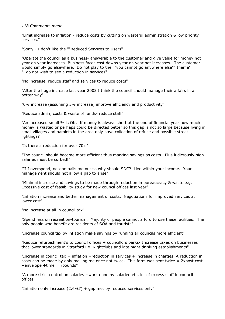#### *118 Comments made*

"Limit increase to inflation - reduce costs by cutting on wasteful administration & low priority services."

"Sorry - I don't like the ""Reduced Services to Users"

"Operate the council as a business- answerable to the customer and give value for money not year on year increases- Business faces cost downs year on year not increases. The customer would simply go elsewhere. Do not play to the ""you cannot go anywhere else"" theme" "I do not wish to see a reduction in services"

"No increase, reduce staff and services to reduce costs"

"After the huge increase last year 2003 I think the council should manage their affairs in a better way"

"0% increase (assuming 3% increase) improve efficiency and productivity"

"Reduce admin, costs & waste of funds- reduce staff"

"An increased small % is OK. If money is always short at the end of financial year how much money is wasted or perhaps could be directed better so this gap is not so large because living in small villages and hamlets in the area only have collection of refuse and possible street lighting??"

"Is there a reduction for over 70's"

"The council should become more efficient thus marking savings as costs. Plus ludicrously high salaries must be curbed!"

"If I overspend, no-one bails me out so why should SDC? Live within your income. Your management should not allow a gap to arise"

"Minimal increase and savings to be made through reduction in bureaucracy & waste e.g. Excessive cost of feasibility study for new council offices last year"

"Inflation increase and better management of costs. Negotiations for improved services at lower cost"

"No increase at all in council tax"

"Spend less on recreation-tourism. Majority of people cannot afford to use these facilities. The only people who benefit are residents of SOA and tourists"

"Increase council tax by inflation make savings by running all councils more efficient"

"Reduce refurbishment's to council offices + councillors parks- Increase taxes on businesses that lower standards in Stratford i.e. Nightclubs and late night drinking establishments"

"Increase in council tax  $=$  inflation +reduction in services  $+$  increase in charges. A reduction in costs can be made by only mailing me once not twice. This form was sent twice = 2xpost cost +envelope +time = ?pounds"

"A more strict control on salaries +work done by salaried etc, lot of excess staff in council offices"

"Inflation only increase (2.6%?) + gap met by reduced services only"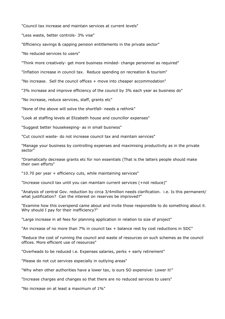"Council tax increase and maintain services at current levels"

"Less waste, better controls- 3% vise"

"Efficiency savings & capping pension entitlements in the private sector"

"No reduced services to users"

"Think more creatively- get more business minded- change personnel as required"

"Inflation increase in council tax. Reduce spending on recreation & tourism"

"No increase. Sell the council offices + move into cheaper accommodation"

"3% increase and improve efficiency of the council by 3% each year as business do"

"No increase, reduce services, staff, grants etc"

"None of the above will solve the shortfall- needs a rethink"

"Look at staffing levels at Elizabeth house and councillor expenses"

"Suggest better housekeeping- as in small business"

"Cut council waste- do not increase council tax and maintain services"

"Manage your business by controlling expenses and maximising productivity as in the private sector"

"Dramatically decrease grants etc for non essentials (That is the latters people should make their own efforts"

"10.70 per year + efficiency cuts, while maintaining services"

"Increase council tax until you can maintain current services (+not reduce)"

"Analysis of central Gov. reduction by circa 3/4million needs clarification. i.e. Is this permanent/ what justification? Can the interest on reserves be improved?"

"Examine how this overspend came about and invite those responsible to do something about it. Why should I pay for their inefficiency?"

"Large increase in all fees for planning application in relation to size of project"

"An increase of no more than 7% in council tax  $+$  balance rest by cost reductions in SDC"

"Reduce the cost of running the council and waste of resources on such schemes as the council offices. More efficient use of resources"

"Overheads to be reduced i.e. Expenses salaries, perks + early retirement"

"Please do not cut services especially in outlying areas"

"Why when other authorities have a lower tax, is ours SO expensive- Lower it!"

"Increase charges and changes so that there are no reduced services to users"

"No increase on at least a maximum of 1%"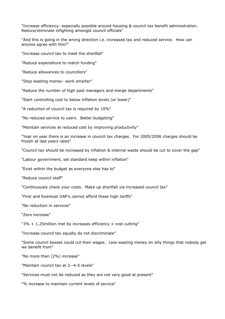"Increase efficiency- especially possible around housing & council tax benefit administration. Reduce/eliminate infighting amongst council officials"

"And this is going in the wrong direction i.e. increased tax and reduced service. How can anyone agree with this?"

"Increase council tax to meet the shortfall"

"Reduce expenditure to match funding"

"Reduce allowances to councillors"

"Stop wasting money- work smarter"

"Reduce the number of high paid managers and merge departments"

"Start controlling cost to below inflation levels (or lower)"

"A reduction of council tax is required by 10%"

"No reduced service to users. Better budgeting"

"Maintain services at reduced cost by improving productivity"

"Year on year there is an increase in council tax charges. For 2005/2006 charges should be frozen at last years rates"

"Council tax should be increased by inflation & internal waste should be cut to cover the gap"

"Labour government, set standard keep within inflation"

"Exist within the budget as everyone else has to"

"Reduce council staff"

"Continuously check your costs. Make up shortfall via increased council tax"

"First and foremost OAP's cannot afford these high tariffs"

"No reduction in services"

"Zero increase"

"3% + 1.25million met by increases efficiency + cost cutting"

"Increase council tax equally do not discriminate"

"Some council bosses could cut their wages. Less wasting money on silly things that nobody get we benefit from"

"No more than (2%) increase"

"Maintain council tax at 2--4-5 levels"

"Services must not be reduced as they are not very good at present"

"% increase to maintain current levels of service"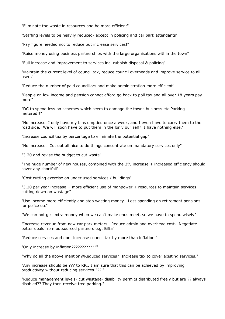"Eliminate the waste in resources and be more efficient"

"Staffing levels to be heavily reduced- except in policing and car park attendants"

"Pay figure needed not to reduce but increase services!"

"Raise money using business partnerships with the large organisations within the town"

"Full increase and improvement to services inc. rubbish disposal & policing"

"Maintain the current level of council tax, reduce council overheads and improve service to all users"

"Reduce the number of paid councillors and make administration more efficient"

"People on low income and pension cannot afford go back to poll tax and all over 18 years pay more"

"DC to spend less on schemes which seem to damage the towns business etc Parking metered!!"

"No increase. I only have my bins emptied once a week, and I even have to carry them to the road side. We will soon have to put them in the lorry our self? I have nothing else."

"Increase council tax by percentage to eliminate the potential gap"

"No increase. Cut out all nice to do things concentrate on mandatory services only"

"3.20 and revise the budget to cut waste"

"The huge number of new houses, combined with the 3% increase + increased efficiency should cover any shortfall"

"Cost cutting exercise on under used services / buildings"

"3.20 per year increase + more efficient use of manpower + resources to maintain services cutting down on wastage"

"Use income more efficiently and stop wasting money. Less spending on retirement pensions for police etc"

"We can not get extra money when we can't make ends meet, so we have to spend wisely"

"Increase revenue from new car park meters. Reduce admin and overhead cost. Negotiate better deals from outsourced partners e.g. Biffa"

"Reduce services and dont increase council tax by more than inflation."

"Only increase by inflation????????????"

"Why do all the above mention@Reduced services? Increase tax to cover existing services."

"Any increase should be ??? to RPI. I am sure that this can be achieved by improving productivity without reducing services ???."

"Reduce management levels- cut wastage- disability permits distributed freely but are ?? always disabled?? They then receive free parking."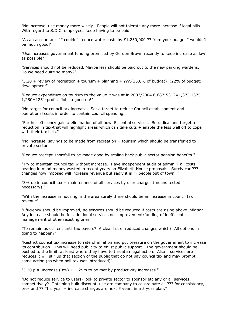"No increase, use money more wisely. People will not tolerate any more increase if legal bills. With regard to S.D.C. employees keep having to be paid."

"As an accountant if I couldn't reduce water costs by £1,250,000 ?? from your budget I wouldn't be much good!"

"Use increases government funding promised by Gordon Brown recently to keep increase as low as possible"

"Services should not be reduced. Maybe less should be paid out to the new parking wardens. Do we need quite so many?"

 $"3.20 +$  review of recreation + tourism + planning + ???.(35.8% of budget) (22% of budget) development"

"Reduce expenditure on tourism to the value it was at in 2003/2004.6,687-5312=1,375 1375- 1,250=1251-profit. Jobs a good un!"

"No target for council tax increase. Set a target to reduce Council establishment and operational costs in order to contain council spending."

"Further efficiency gains; elimination of all now. Essential services. Be radical and target a reduction in tax-that will highlight areas which can take cuts + enable the less well off to cope with their tax bills."

"No increase, savings to be made from recreation + tourism which should be transferred to private sector"

"Reduce precept-shortfall to be made good by scaling back public sector pension benefits."

"Try to maintain council tax without increase. Have independent audit of admin + all costs bearing in mind money wasted in recent years on Elizabeth House proposals. Surely car ??? changes now imposed will increase revenue but sadly it is ?? people out of town."

"3% up in council tax + maintenance of all services by user charges (means tested if necessary)."

"With the increase in housing in the area surely there should be an increase in council tax revenue"

"Efficiency should be improved, no services should be reduced if costs are rising above inflation. Any increase should be for additional services not improvement/funding of inefficient management of other/existing ones"

"To remain as current until tax payers? A clear list of reduced changes which? All options in going to happen?"

"Restrict council tax increase to rate of inflation and put pressure on the government to increase its contribution. This will need publicity to enlist public support. The government should be pushed to the limit, at least where they have to threaten legal action. Also if services are reduces it will stir up that section of the public that do not pay council tax and may prompt some action (as when poll tax was introduced)"

"3.20 p.a. increase  $(3%) + 1.25$ m to be met by productivity increases."

"Do not reduce service to users- look to private sector to sponsor etc any or all services, competitively? Obtaining bulk discount, use are company to co-ordinate all ??? for consistency, pre-fund ?? This year + increase charges are next 5 years in a 5 year plan."